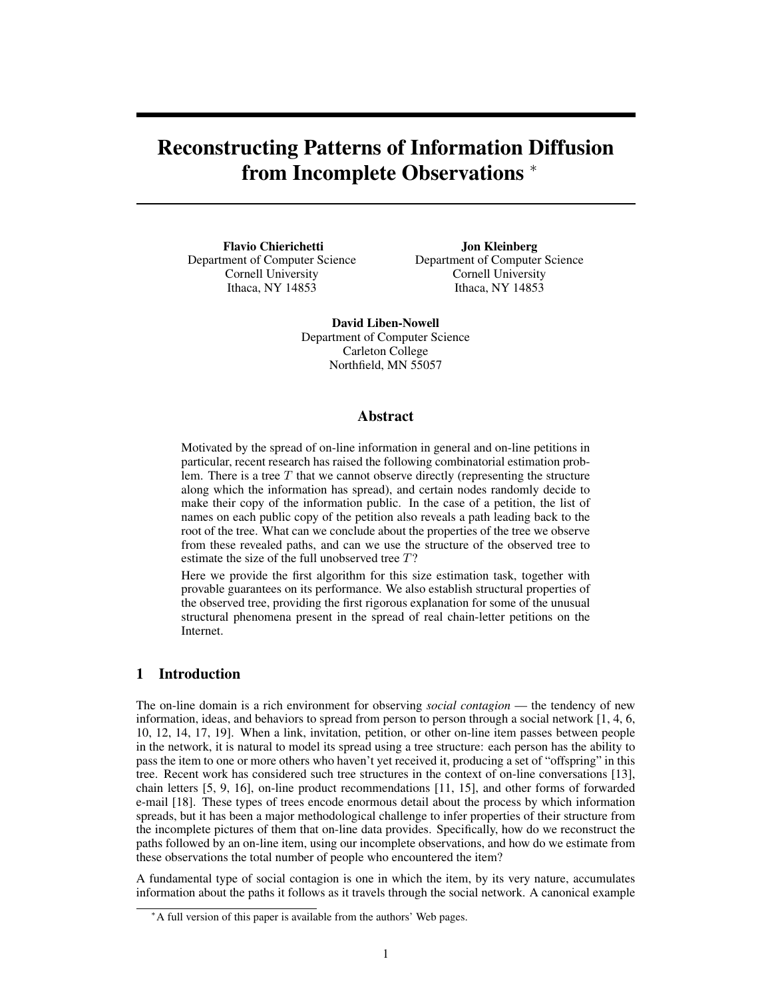# Reconstructing Patterns of Information Diffusion from Incomplete Observations  $*$

Flavio Chierichetti Department of Computer Science Cornell University Ithaca, NY 14853

Jon Kleinberg Department of Computer Science Cornell University Ithaca, NY 14853

David Liben-Nowell Department of Computer Science Carleton College Northfield, MN 55057

## Abstract

Motivated by the spread of on-line information in general and on-line petitions in particular, recent research has raised the following combinatorial estimation problem. There is a tree  $T$  that we cannot observe directly (representing the structure along which the information has spread), and certain nodes randomly decide to make their copy of the information public. In the case of a petition, the list of names on each public copy of the petition also reveals a path leading back to the root of the tree. What can we conclude about the properties of the tree we observe from these revealed paths, and can we use the structure of the observed tree to estimate the size of the full unobserved tree T?

Here we provide the first algorithm for this size estimation task, together with provable guarantees on its performance. We also establish structural properties of the observed tree, providing the first rigorous explanation for some of the unusual structural phenomena present in the spread of real chain-letter petitions on the Internet.

# 1 Introduction

The on-line domain is a rich environment for observing *social contagion* — the tendency of new information, ideas, and behaviors to spread from person to person through a social network [1, 4, 6, 10, 12, 14, 17, 19]. When a link, invitation, petition, or other on-line item passes between people in the network, it is natural to model its spread using a tree structure: each person has the ability to pass the item to one or more others who haven't yet received it, producing a set of "offspring" in this tree. Recent work has considered such tree structures in the context of on-line conversations [13], chain letters [5, 9, 16], on-line product recommendations [11, 15], and other forms of forwarded e-mail [18]. These types of trees encode enormous detail about the process by which information spreads, but it has been a major methodological challenge to infer properties of their structure from the incomplete pictures of them that on-line data provides. Specifically, how do we reconstruct the paths followed by an on-line item, using our incomplete observations, and how do we estimate from these observations the total number of people who encountered the item?

A fundamental type of social contagion is one in which the item, by its very nature, accumulates information about the paths it follows as it travels through the social network. A canonical example

<sup>∗</sup>A full version of this paper is available from the authors' Web pages.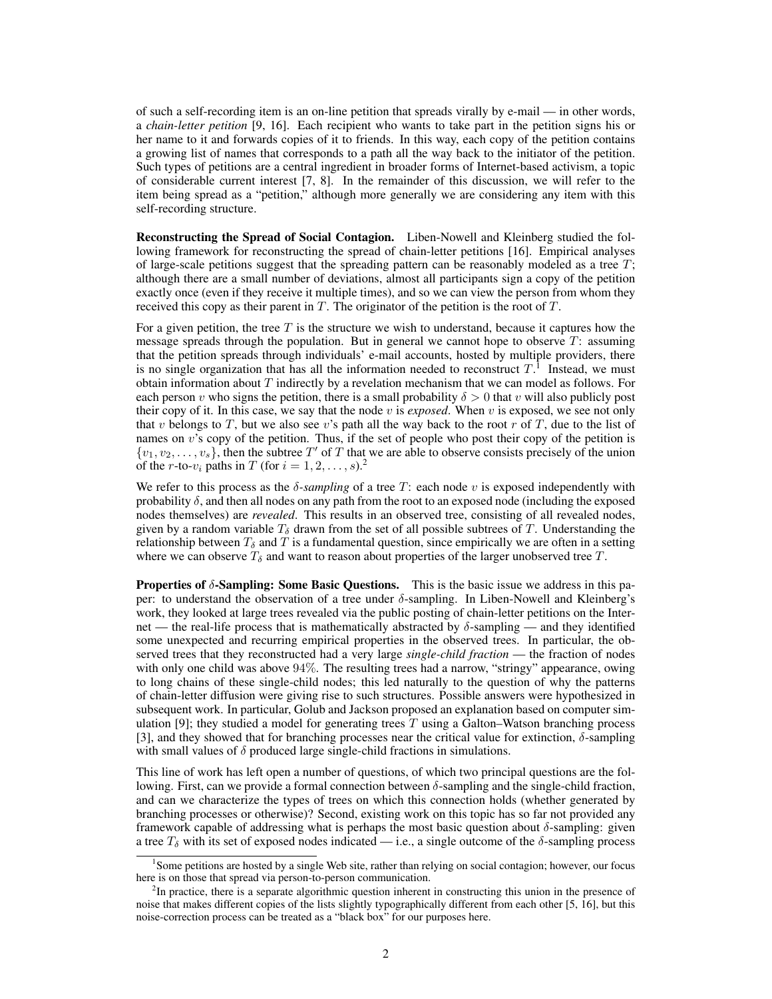of such a self-recording item is an on-line petition that spreads virally by e-mail — in other words, a *chain-letter petition* [9, 16]. Each recipient who wants to take part in the petition signs his or her name to it and forwards copies of it to friends. In this way, each copy of the petition contains a growing list of names that corresponds to a path all the way back to the initiator of the petition. Such types of petitions are a central ingredient in broader forms of Internet-based activism, a topic of considerable current interest [7, 8]. In the remainder of this discussion, we will refer to the item being spread as a "petition," although more generally we are considering any item with this self-recording structure.

Reconstructing the Spread of Social Contagion. Liben-Nowell and Kleinberg studied the following framework for reconstructing the spread of chain-letter petitions [16]. Empirical analyses of large-scale petitions suggest that the spreading pattern can be reasonably modeled as a tree  $T$ ; although there are a small number of deviations, almost all participants sign a copy of the petition exactly once (even if they receive it multiple times), and so we can view the person from whom they received this copy as their parent in  $T$ . The originator of the petition is the root of  $T$ .

For a given petition, the tree  $T$  is the structure we wish to understand, because it captures how the message spreads through the population. But in general we cannot hope to observe T: assuming that the petition spreads through individuals' e-mail accounts, hosted by multiple providers, there is no single organization that has all the information needed to reconstruct  $T<sup>1</sup>$  Instead, we must obtain information about  $T$  indirectly by a revelation mechanism that we can model as follows. For each person v who signs the petition, there is a small probability  $\delta > 0$  that v will also publicly post their copy of it. In this case, we say that the node  $v$  is *exposed*. When  $v$  is exposed, we see not only that v belongs to T, but we also see v's path all the way back to the root r of T, due to the list of names on  $v$ 's copy of the petition. Thus, if the set of people who post their copy of the petition is  $\{v_1, v_2, \ldots, v_s\}$ , then the subtree T' of T that we are able to observe consists precisely of the union of the r-to- $v_i$  paths in T (for  $i = 1, 2, \ldots, s$ ).<sup>2</sup>

We refer to this process as the  $\delta$ -sampling of a tree T: each node v is exposed independently with probability  $\delta$ , and then all nodes on any path from the root to an exposed node (including the exposed nodes themselves) are *revealed*. This results in an observed tree, consisting of all revealed nodes, given by a random variable  $T_{\delta}$  drawn from the set of all possible subtrees of T. Understanding the relationship between  $T_{\delta}$  and T is a fundamental question, since empirically we are often in a setting where we can observe  $T_\delta$  and want to reason about properties of the larger unobserved tree T.

**Properties of**  $\delta$ **-Sampling: Some Basic Questions.** This is the basic issue we address in this paper: to understand the observation of a tree under δ-sampling. In Liben-Nowell and Kleinberg's work, they looked at large trees revealed via the public posting of chain-letter petitions on the Internet — the real-life process that is mathematically abstracted by  $\delta$ -sampling — and they identified some unexpected and recurring empirical properties in the observed trees. In particular, the observed trees that they reconstructed had a very large *single-child fraction* — the fraction of nodes with only one child was above 94%. The resulting trees had a narrow, "stringy" appearance, owing to long chains of these single-child nodes; this led naturally to the question of why the patterns of chain-letter diffusion were giving rise to such structures. Possible answers were hypothesized in subsequent work. In particular, Golub and Jackson proposed an explanation based on computer simulation  $[9]$ ; they studied a model for generating trees T using a Galton–Watson branching process [3], and they showed that for branching processes near the critical value for extinction,  $\delta$ -sampling with small values of  $\delta$  produced large single-child fractions in simulations.

This line of work has left open a number of questions, of which two principal questions are the following. First, can we provide a formal connection between δ-sampling and the single-child fraction, and can we characterize the types of trees on which this connection holds (whether generated by branching processes or otherwise)? Second, existing work on this topic has so far not provided any framework capable of addressing what is perhaps the most basic question about  $\delta$ -sampling: given a tree  $T_{\delta}$  with its set of exposed nodes indicated — i.e., a single outcome of the  $\delta$ -sampling process

<sup>&</sup>lt;sup>1</sup>Some petitions are hosted by a single Web site, rather than relying on social contagion; however, our focus here is on those that spread via person-to-person communication.

<sup>&</sup>lt;sup>2</sup>In practice, there is a separate algorithmic question inherent in constructing this union in the presence of noise that makes different copies of the lists slightly typographically different from each other [5, 16], but this noise-correction process can be treated as a "black box" for our purposes here.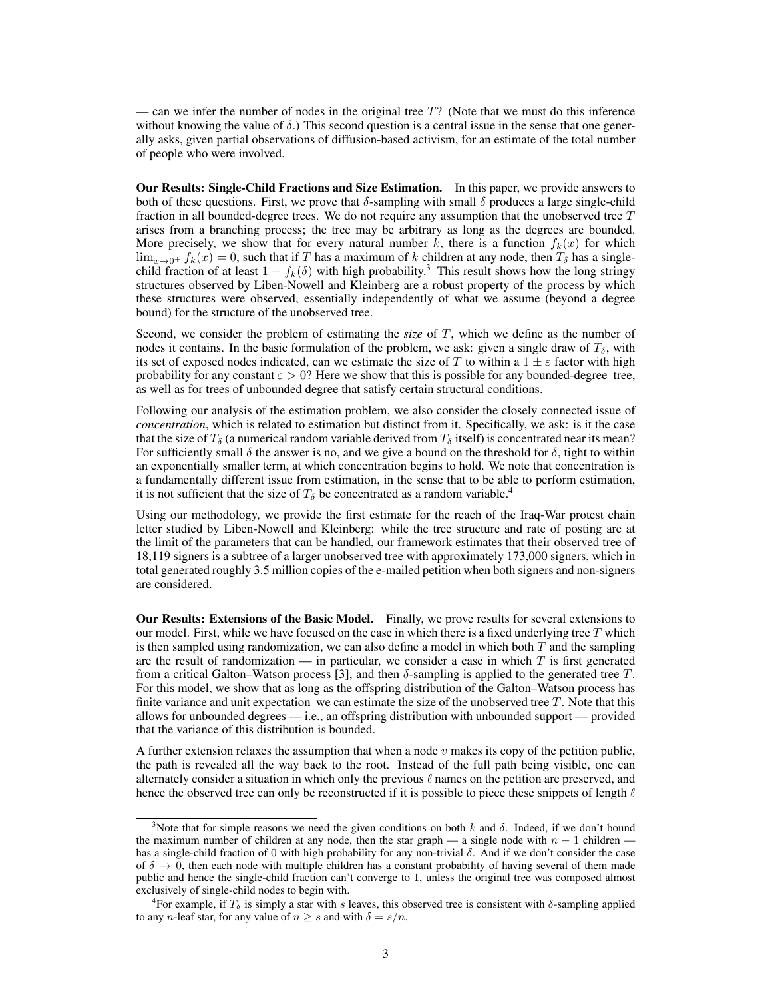— can we infer the number of nodes in the original tree  $T$ ? (Note that we must do this inference without knowing the value of  $\delta$ .) This second question is a central issue in the sense that one generally asks, given partial observations of diffusion-based activism, for an estimate of the total number of people who were involved.

Our Results: Single-Child Fractions and Size Estimation. In this paper, we provide answers to both of these questions. First, we prove that  $\delta$ -sampling with small  $\delta$  produces a large single-child fraction in all bounded-degree trees. We do not require any assumption that the unobserved tree  $T$ arises from a branching process; the tree may be arbitrary as long as the degrees are bounded. More precisely, we show that for every natural number k, there is a function  $f_k(x)$  for which  $\lim_{x\to 0^+} f_k(x) = 0$ , such that if T has a maximum of k children at any node, then  $T_\delta$  has a singlechild fraction of at least  $1 - f_k(\delta)$  with high probability.<sup>3</sup> This result shows how the long stringy structures observed by Liben-Nowell and Kleinberg are a robust property of the process by which these structures were observed, essentially independently of what we assume (beyond a degree bound) for the structure of the unobserved tree.

Second, we consider the problem of estimating the *size* of T, which we define as the number of nodes it contains. In the basic formulation of the problem, we ask: given a single draw of  $T_{\delta}$ , with its set of exposed nodes indicated, can we estimate the size of T to within a  $1 \pm \varepsilon$  factor with high probability for any constant  $\varepsilon > 0$ ? Here we show that this is possible for any bounded-degree tree, as well as for trees of unbounded degree that satisfy certain structural conditions.

Following our analysis of the estimation problem, we also consider the closely connected issue of *concentration*, which is related to estimation but distinct from it. Specifically, we ask: is it the case that the size of  $T_\delta$  (a numerical random variable derived from  $T_\delta$  itself) is concentrated near its mean? For sufficiently small  $\delta$  the answer is no, and we give a bound on the threshold for  $\delta$ , tight to within an exponentially smaller term, at which concentration begins to hold. We note that concentration is a fundamentally different issue from estimation, in the sense that to be able to perform estimation, it is not sufficient that the size of  $T_\delta$  be concentrated as a random variable.<sup>4</sup>

Using our methodology, we provide the first estimate for the reach of the Iraq-War protest chain letter studied by Liben-Nowell and Kleinberg: while the tree structure and rate of posting are at the limit of the parameters that can be handled, our framework estimates that their observed tree of 18,119 signers is a subtree of a larger unobserved tree with approximately 173,000 signers, which in total generated roughly 3.5 million copies of the e-mailed petition when both signers and non-signers are considered.

Our Results: Extensions of the Basic Model. Finally, we prove results for several extensions to our model. First, while we have focused on the case in which there is a fixed underlying tree  $T$  which is then sampled using randomization, we can also define a model in which both  $T$  and the sampling are the result of randomization — in particular, we consider a case in which  $T$  is first generated from a critical Galton–Watson process [3], and then  $\delta$ -sampling is applied to the generated tree T. For this model, we show that as long as the offspring distribution of the Galton–Watson process has finite variance and unit expectation we can estimate the size of the unobserved tree  $T$ . Note that this allows for unbounded degrees  $-$  i.e., an offspring distribution with unbounded support  $-$  provided that the variance of this distribution is bounded.

A further extension relaxes the assumption that when a node  $v$  makes its copy of the petition public, the path is revealed all the way back to the root. Instead of the full path being visible, one can alternately consider a situation in which only the previous  $\ell$  names on the petition are preserved, and hence the observed tree can only be reconstructed if it is possible to piece these snippets of length  $\ell$ 

<sup>&</sup>lt;sup>3</sup>Note that for simple reasons we need the given conditions on both k and  $\delta$ . Indeed, if we don't bound the maximum number of children at any node, then the star graph — a single node with  $n - 1$  children has a single-child fraction of 0 with high probability for any non-trivial δ. And if we don't consider the case of  $\delta \to 0$ , then each node with multiple children has a constant probability of having several of them made public and hence the single-child fraction can't converge to 1, unless the original tree was composed almost exclusively of single-child nodes to begin with.

<sup>&</sup>lt;sup>4</sup>For example, if  $T_\delta$  is simply a star with s leaves, this observed tree is consistent with  $\delta$ -sampling applied to any *n*-leaf star, for any value of  $n \geq s$  and with  $\delta = s/n$ .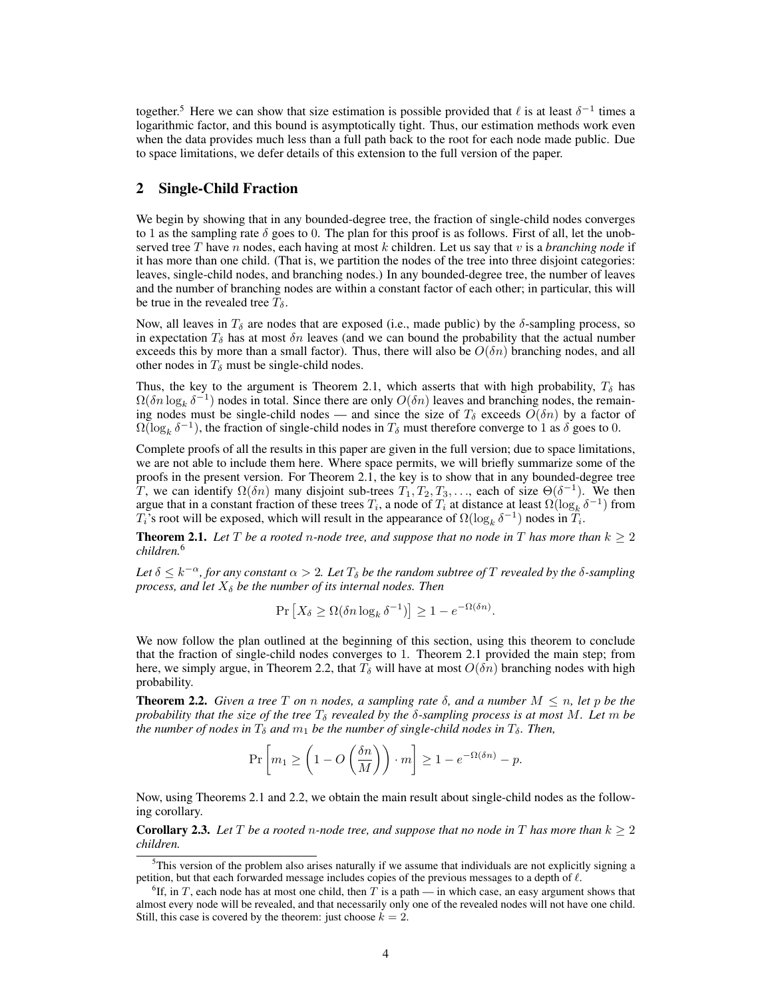together.<sup>5</sup> Here we can show that size estimation is possible provided that  $\ell$  is at least  $\delta^{-1}$  times a logarithmic factor, and this bound is asymptotically tight. Thus, our estimation methods work even when the data provides much less than a full path back to the root for each node made public. Due to space limitations, we defer details of this extension to the full version of the paper.

## 2 Single-Child Fraction

We begin by showing that in any bounded-degree tree, the fraction of single-child nodes converges to 1 as the sampling rate  $\delta$  goes to 0. The plan for this proof is as follows. First of all, let the unobserved tree T have n nodes, each having at most k children. Let us say that v is a *branching node* if it has more than one child. (That is, we partition the nodes of the tree into three disjoint categories: leaves, single-child nodes, and branching nodes.) In any bounded-degree tree, the number of leaves and the number of branching nodes are within a constant factor of each other; in particular, this will be true in the revealed tree  $T_{\delta}$ .

Now, all leaves in  $T_\delta$  are nodes that are exposed (i.e., made public) by the  $\delta$ -sampling process, so in expectation  $T_{\delta}$  has at most  $\delta n$  leaves (and we can bound the probability that the actual number exceeds this by more than a small factor). Thus, there will also be  $O(\delta n)$  branching nodes, and all other nodes in  $T_{\delta}$  must be single-child nodes.

Thus, the key to the argument is Theorem 2.1, which asserts that with high probability,  $T_{\delta}$  has  $\Omega(\delta n \log_k \delta^{-1})$  nodes in total. Since there are only  $O(\delta n)$  leaves and branching nodes, the remaining nodes must be single-child nodes — and since the size of  $T_\delta$  exceeds  $O(\delta n)$  by a factor of  $\Omega(\log_k \delta^{-1})$ , the fraction of single-child nodes in  $T_\delta$  must therefore converge to 1 as  $\delta$  goes to 0.

Complete proofs of all the results in this paper are given in the full version; due to space limitations, we are not able to include them here. Where space permits, we will briefly summarize some of the proofs in the present version. For Theorem 2.1, the key is to show that in any bounded-degree tree T, we can identify  $\Omega(\delta n)$  many disjoint sub-trees  $T_1, T_2, T_3, \ldots$ , each of size  $\Theta(\delta^{-1})$ . We then argue that in a constant fraction of these trees  $T_i$ , a node of  $T_i$  at distance at least  $\Omega(\log_k \delta^{-1})$  from  $T_i$ 's root will be exposed, which will result in the appearance of  $\Omega(\log_k \delta^{-1})$  nodes in  $T_i$ .

**Theorem 2.1.** Let T be a rooted n-node tree, and suppose that no node in T has more than  $k \geq 2$ *children.*<sup>6</sup>

Let  $\delta \leq k^{-\alpha}$ , for any constant  $\alpha > 2$ . Let  $T_{\delta}$  be the random subtree of T revealed by the  $\delta$ -sampling *process, and let*  $X_{\delta}$  *be the number of its internal nodes. Then* 

$$
\Pr\left[X_{\delta} \ge \Omega(\delta n \log_k \delta^{-1})\right] \ge 1 - e^{-\Omega(\delta n)}.
$$

We now follow the plan outlined at the beginning of this section, using this theorem to conclude that the fraction of single-child nodes converges to 1. Theorem 2.1 provided the main step; from here, we simply argue, in Theorem 2.2, that  $T_{\delta}$  will have at most  $O(\delta n)$  branching nodes with high probability.

**Theorem 2.2.** *Given a tree* T *on n* nodes, a sampling rate  $\delta$ , and a number  $M \le n$ , let p be the *probability that the size of the tree*  $T_{\delta}$  *revealed by the*  $\delta$ *-sampling process is at most* M. Let m be *the number of nodes in*  $T_{\delta}$  *and*  $m_1$  *be the number of single-child nodes in*  $T_{\delta}$ *. Then,* 

$$
\Pr\left[m_1 \ge \left(1 - O\left(\frac{\delta n}{M}\right)\right) \cdot m\right] \ge 1 - e^{-\Omega(\delta n)} - p.
$$

Now, using Theorems 2.1 and 2.2, we obtain the main result about single-child nodes as the following corollary.

**Corollary 2.3.** Let T be a rooted n-node tree, and suppose that no node in T has more than  $k \geq 2$ *children.*

 $<sup>5</sup>$ This version of the problem also arises naturally if we assume that individuals are not explicitly signing a</sup> petition, but that each forwarded message includes copies of the previous messages to a depth of  $\ell$ .

 ${}^6$ If, in T, each node has at most one child, then T is a path — in which case, an easy argument shows that almost every node will be revealed, and that necessarily only one of the revealed nodes will not have one child. Still, this case is covered by the theorem: just choose  $k = 2$ .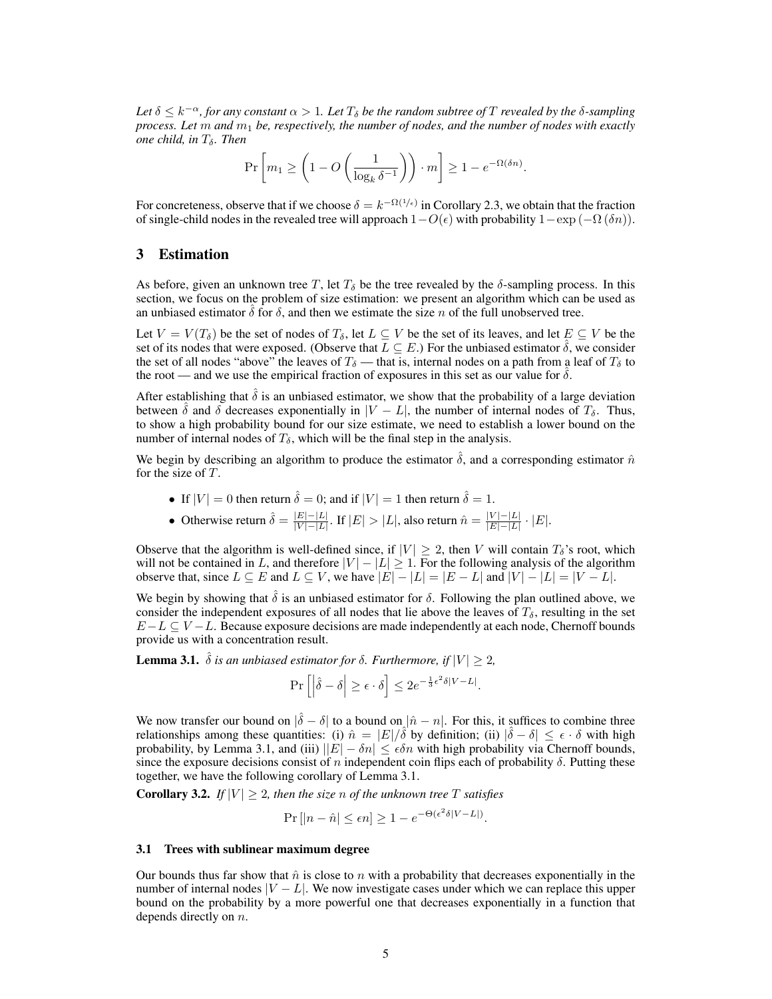Let  $\delta \leq k^{-\alpha}$ , for any constant  $\alpha > 1$ . Let  $T_{\delta}$  be the random subtree of T revealed by the  $\delta$ -sampling *process. Let* m *and* m<sup>1</sup> *be, respectively, the number of nodes, and the number of nodes with exactly one child, in*  $T_{\delta}$ *. Then* 

$$
\Pr\left[m_1 \ge \left(1 - O\left(\frac{1}{\log_k \delta^{-1}}\right)\right) \cdot m\right] \ge 1 - e^{-\Omega(\delta n)}.
$$

For concreteness, observe that if we choose  $\delta = k^{-\Omega(1/\epsilon)}$  in Corollary 2.3, we obtain that the fraction of single-child nodes in the revealed tree will approach  $1-O(\epsilon)$  with probability  $1-\exp(-\Omega(\delta n))$ .

## 3 Estimation

As before, given an unknown tree T, let  $T_{\delta}$  be the tree revealed by the  $\delta$ -sampling process. In this section, we focus on the problem of size estimation: we present an algorithm which can be used as an unbiased estimator  $\delta$  for  $\delta$ , and then we estimate the size n of the full unobserved tree.

Let  $V = V(T_\delta)$  be the set of nodes of  $T_\delta$ , let  $L \subseteq V$  be the set of its leaves, and let  $E \subseteq V$  be the set of its nodes that were exposed. (Observe that  $L \subseteq E$ .) For the unbiased estimator  $\hat{\delta}$ , we consider the set of all nodes "above" the leaves of  $T_{\delta}$  — that is, internal nodes on a path from a leaf of  $T_{\delta}$  to the root — and we use the empirical fraction of exposures in this set as our value for  $\delta$ .

After establishing that  $\delta$  is an unbiased estimator, we show that the probability of a large deviation between  $\hat{\delta}$  and  $\delta$  decreases exponentially in  $|V - L|$ , the number of internal nodes of  $T_{\delta}$ . Thus, to show a high probability bound for our size estimate, we need to establish a lower bound on the number of internal nodes of  $T_{\delta}$ , which will be the final step in the analysis.

We begin by describing an algorithm to produce the estimator  $\hat{\delta}$ , and a corresponding estimator  $\hat{n}$ for the size of T.

- If  $|V| = 0$  then return  $\hat{\delta} = 0$ ; and if  $|V| = 1$  then return  $\hat{\delta} = 1$ .
- Otherwise return  $\hat{\delta} = \frac{|E| |L|}{|V| |L|}$  $\frac{|E|-|L|}{|V|-|L|}$ . If  $|E|>|L|$ , also return  $\hat{n} = \frac{|V|-|L|}{|E|-|L|}$  $\frac{|V| - |L|}{|E| - |L|} \cdot |E|.$

Observe that the algorithm is well-defined since, if  $|V| \geq 2$ , then V will contain  $T_{\delta}$ 's root, which will not be contained in L, and therefore  $|V| - |L| \ge 1$ . For the following analysis of the algorithm observe that, since  $L \subseteq E$  and  $L \subseteq V$ , we have  $|E| - |L| = |E - L|$  and  $|V| - |L| = |V - L|$ .

We begin by showing that  $\hat{\delta}$  is an unbiased estimator for  $\delta$ . Following the plan outlined above, we consider the independent exposures of all nodes that lie above the leaves of  $T_{\delta}$ , resulting in the set  $E-L \subseteq V-L$ . Because exposure decisions are made independently at each node, Chernoff bounds provide us with a concentration result.

**Lemma 3.1.**  $\hat{\delta}$  *is an unbiased estimator for*  $\delta$ *. Furthermore, if*  $|V| \geq 2$ *,* 

$$
\Pr\left[\left|\hat{\delta} - \delta\right| \ge \epsilon \cdot \delta\right] \le 2e^{-\frac{1}{3}\epsilon^2 \delta|V - L|}.
$$

We now transfer our bound on  $|\hat{\delta} - \delta|$  to a bound on  $|\hat{n} - n|$ . For this, it suffices to combine three relationships among these quantities: (i)  $\hat{n} = |E|/\hat{\delta}$  by definition; (ii)  $|\hat{\delta} - \delta| \leq \epsilon \cdot \delta$  with high probability, by Lemma 3.1, and (iii)  $||E| - \delta n| \leq \epsilon \delta n$  with high probability via Chernoff bounds, since the exposure decisions consist of n independent coin flips each of probability  $\delta$ . Putting these together, we have the following corollary of Lemma 3.1.

**Corollary 3.2.** *If*  $|V| \geq 2$ , then the size n of the unknown tree T satisfies

$$
\Pr\left[|n-\hat{n}|\leq \epsilon n\right] \geq 1 - e^{-\Theta(\epsilon^2 \delta|V-L|)}.
$$

#### 3.1 Trees with sublinear maximum degree

Our bounds thus far show that  $\hat{n}$  is close to n with a probability that decreases exponentially in the number of internal nodes  $|V - L|$ . We now investigate cases under which we can replace this upper bound on the probability by a more powerful one that decreases exponentially in a function that depends directly on n.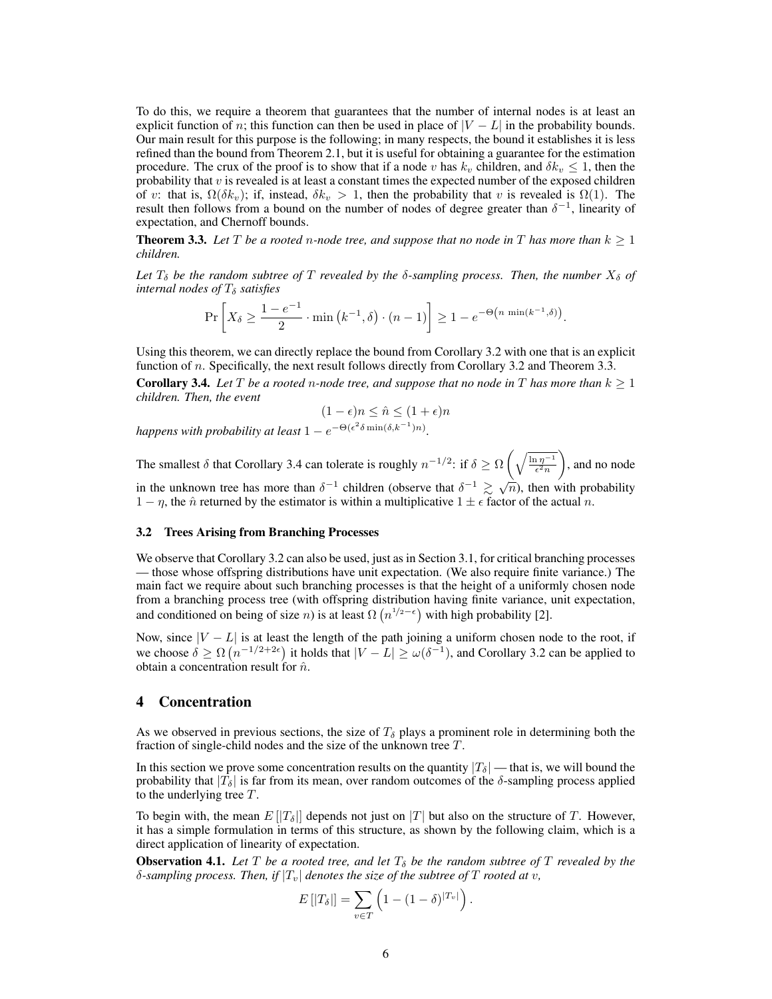To do this, we require a theorem that guarantees that the number of internal nodes is at least an explicit function of n; this function can then be used in place of  $|V - L|$  in the probability bounds. Our main result for this purpose is the following; in many respects, the bound it establishes it is less refined than the bound from Theorem 2.1, but it is useful for obtaining a guarantee for the estimation procedure. The crux of the proof is to show that if a node v has  $k_v$  children, and  $\delta k_v \leq 1$ , then the probability that  $v$  is revealed is at least a constant times the expected number of the exposed children of v: that is,  $\Omega(\delta k_v)$ ; if, instead,  $\delta k_v > 1$ , then the probability that v is revealed is  $\Omega(1)$ . The result then follows from a bound on the number of nodes of degree greater than  $\delta^{-1}$ , linearity of expectation, and Chernoff bounds.

**Theorem 3.3.** Let T be a rooted n-node tree, and suppose that no node in T has more than  $k \geq 1$ *children.*

Let  $T_{\delta}$  be the random subtree of T revealed by the  $\delta$ -sampling process. Then, the number  $X_{\delta}$  of *internal nodes of*  $T_{\delta}$  *satisfies* 

$$
\Pr\left[X_{\delta} \ge \frac{1 - e^{-1}}{2} \cdot \min\left(k^{-1}, \delta\right) \cdot (n - 1)\right] \ge 1 - e^{-\Theta\left(n \min\left(k^{-1}, \delta\right)\right)}.
$$

Using this theorem, we can directly replace the bound from Corollary 3.2 with one that is an explicit function of *n*. Specifically, the next result follows directly from Corollary 3.2 and Theorem 3.3.

**Corollary 3.4.** Let T be a rooted n-node tree, and suppose that no node in T has more than  $k \geq 1$ *children. Then, the event*

$$
(1 - \epsilon)n \le \hat{n} \le (1 + \epsilon)n
$$

*happens with probability at least*  $1 - e^{-\Theta(\epsilon^2 \delta \min(\delta, k^{-1})n)}$ .

The smallest  $\delta$  that Corollary 3.4 can tolerate is roughly  $n^{-1/2}$ : if  $\delta \ge \Omega \left( \sqrt{\frac{\ln n^{-1}}{\epsilon^2 n}} \right)$  , and no node in the unknown tree has more than  $\delta^{-1}$  children (observe that  $\delta^{-1} \gtrsim \sqrt{n}$ ), then with probability √  $1 - \eta$ , the  $\hat{n}$  returned by the estimator is within a multiplicative  $1 \pm \epsilon$  factor of the actual n.

#### 3.2 Trees Arising from Branching Processes

We observe that Corollary 3.2 can also be used, just as in Section 3.1, for critical branching processes — those whose offspring distributions have unit expectation. (We also require finite variance.) The main fact we require about such branching processes is that the height of a uniformly chosen node from a branching process tree (with offspring distribution having finite variance, unit expectation, and conditioned on being of size *n*) is at least  $\Omega(n^{1/2-\epsilon})$  with high probability [2].

Now, since  $|V - L|$  is at least the length of the path joining a uniform chosen node to the root, if we choose  $\delta \geq \Omega\left(n^{-1/2+2\epsilon}\right)$  it holds that  $|V - L| \geq \omega(\delta^{-1})$ , and Corollary 3.2 can be applied to obtain a concentration result for  $\hat{n}$ .

## 4 Concentration

As we observed in previous sections, the size of  $T<sub>\delta</sub>$  plays a prominent role in determining both the fraction of single-child nodes and the size of the unknown tree T.

In this section we prove some concentration results on the quantity  $|T_{\delta}|$  — that is, we will bound the probability that  $|T_{\delta}|$  is far from its mean, over random outcomes of the  $\delta$ -sampling process applied to the underlying tree T.

To begin with, the mean  $E[[T_\delta]]$  depends not just on  $|T|$  but also on the structure of T. However, it has a simple formulation in terms of this structure, as shown by the following claim, which is a direct application of linearity of expectation.

**Observation 4.1.** Let T be a rooted tree, and let  $T_{\delta}$  be the random subtree of T revealed by the  $\delta$ -sampling process. Then, if  $|T_v|$  denotes the size of the subtree of T rooted at v,

$$
E\left[|T_{\delta}|\right] = \sum_{v \in T} \left(1 - (1 - \delta)^{|T_v|}\right).
$$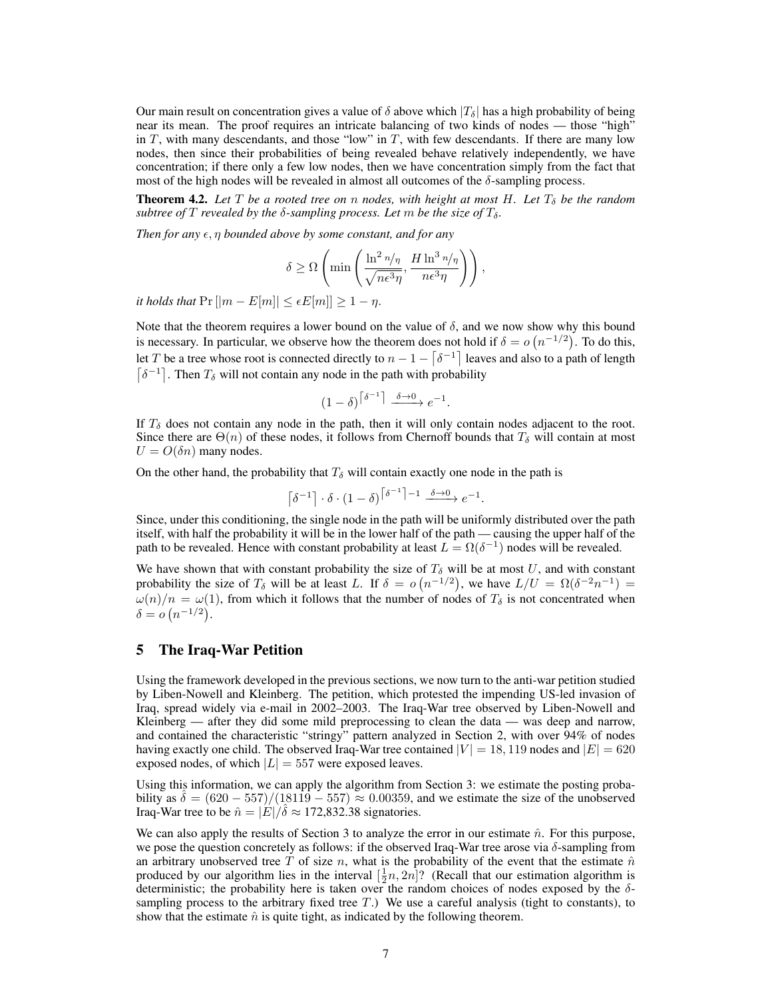Our main result on concentration gives a value of  $\delta$  above which  $|T_{\delta}|$  has a high probability of being near its mean. The proof requires an intricate balancing of two kinds of nodes — those "high" in  $T$ , with many descendants, and those "low" in  $T$ , with few descendants. If there are many low nodes, then since their probabilities of being revealed behave relatively independently, we have concentration; if there only a few low nodes, then we have concentration simply from the fact that most of the high nodes will be revealed in almost all outcomes of the  $\delta$ -sampling process.

**Theorem 4.2.** Let T be a rooted tree on n nodes, with height at most H. Let  $T_{\delta}$  be the random *subtree of*  $T$  *revealed by the*  $\delta$ -sampling process. Let  $m$  be the size of  $T_{\delta}$ .

*Then for any*  $\epsilon$ ,  $\eta$  *bounded above by some constant, and for any* 

$$
\delta \geq \Omega \left( \min \left( \frac{\ln^2 n / \eta}{\sqrt{n \epsilon^3 \eta}}, \frac{H \ln^3 n / \eta}{n \epsilon^3 \eta} \right) \right),\,
$$

*it holds that*  $Pr[|m - E[m]| \leq \epsilon E[m]| \geq 1 - \eta$ .

Note that the theorem requires a lower bound on the value of  $\delta$ , and we now show why this bound is necessary. In particular, we observe how the theorem does not hold if  $\delta = o(n^{-1/2})$ . To do this, let T be a tree whose root is connected directly to  $n-1-\lceil\delta^{-1}\rceil$  leaves and also to a path of length  $\lceil \delta^{-1} \rceil$ . Then  $T_{\delta}$  will not contain any node in the path with probability

$$
(1 - \delta)^{\lceil \delta^{-1} \rceil} \xrightarrow{\delta \to 0} e^{-1}.
$$

If  $T_{\delta}$  does not contain any node in the path, then it will only contain nodes adjacent to the root. Since there are  $\Theta(n)$  of these nodes, it follows from Chernoff bounds that  $T_{\delta}$  will contain at most  $U = O(\delta n)$  many nodes.

On the other hand, the probability that  $T_{\delta}$  will contain exactly one node in the path is

$$
\left\lceil \delta^{-1} \right\rceil \cdot \delta \cdot (1 - \delta)^{\left\lceil \delta^{-1} \right\rceil - 1} \xrightarrow{\delta \to 0} e^{-1}.
$$

Since, under this conditioning, the single node in the path will be uniformly distributed over the path itself, with half the probability it will be in the lower half of the path — causing the upper half of the path to be revealed. Hence with constant probability at least  $L = \Omega(\delta^{-1})$  nodes will be revealed.

We have shown that with constant probability the size of  $T_\delta$  will be at most U, and with constant probability the size of  $T_\delta$  will be at least L. If  $\delta = o(n^{-1/2})$ , we have  $L/U = \Omega(\delta^{-2}n^{-1}) =$  $\omega(n)/n = \omega(1)$ , from which it follows that the number of nodes of  $T_\delta$  is not concentrated when  $\delta = o(n^{-1/2}).$ 

## 5 The Iraq-War Petition

Using the framework developed in the previous sections, we now turn to the anti-war petition studied by Liben-Nowell and Kleinberg. The petition, which protested the impending US-led invasion of Iraq, spread widely via e-mail in 2002–2003. The Iraq-War tree observed by Liben-Nowell and Kleinberg — after they did some mild preprocessing to clean the data — was deep and narrow, and contained the characteristic "stringy" pattern analyzed in Section 2, with over 94% of nodes having exactly one child. The observed Iraq-War tree contained  $|V| = 18,119$  nodes and  $|E| = 620$ exposed nodes, of which  $|L| = 557$  were exposed leaves.

Using this information, we can apply the algorithm from Section 3: we estimate the posting probability as  $\delta = (620 - 557)/(18119 - 557) \approx 0.00359$ , and we estimate the size of the unobserved Iraq-War tree to be  $\hat{n} = |\vec{E}|/\hat{\delta} \approx 172,832.38$  signatories.

We can also apply the results of Section 3 to analyze the error in our estimate  $\hat{n}$ . For this purpose, we pose the question concretely as follows: if the observed Iraq-War tree arose via  $\delta$ -sampling from an arbitrary unobserved tree T of size n, what is the probability of the event that the estimate  $\hat{n}$ produced by our algorithm lies in the interval  $[\frac{1}{2}n, 2n]$ ? (Recall that our estimation algorithm is deterministic; the probability here is taken over the random choices of nodes exposed by the  $\delta$ sampling process to the arbitrary fixed tree  $T$ .) We use a careful analysis (tight to constants), to show that the estimate  $\hat{n}$  is quite tight, as indicated by the following theorem.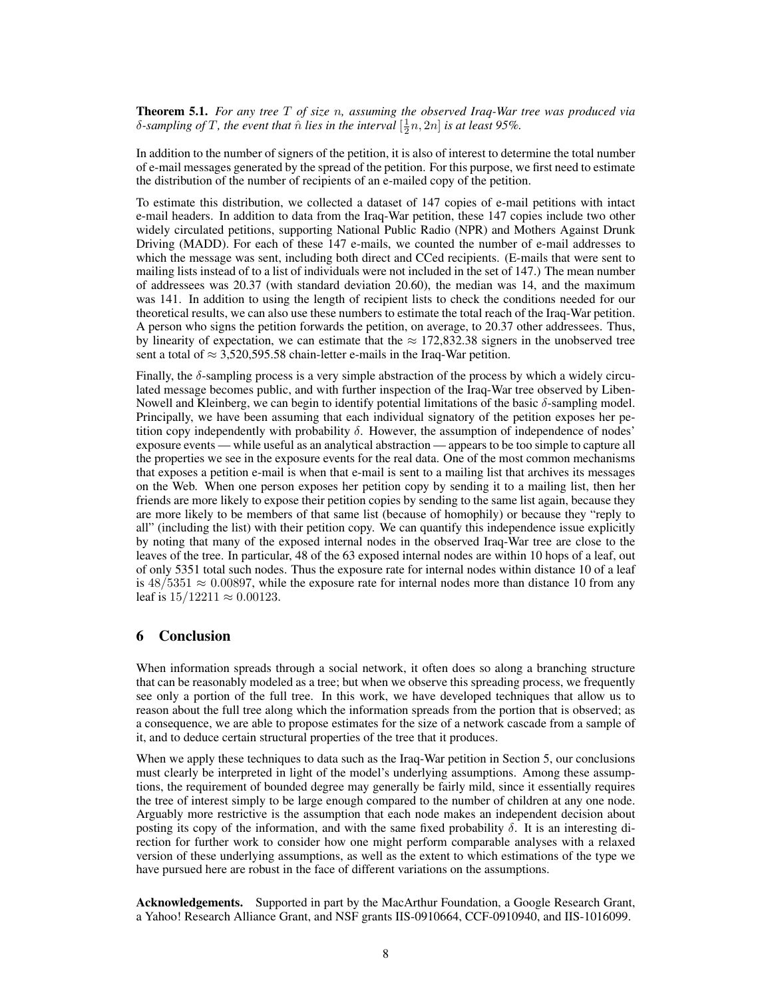Theorem 5.1. *For any tree* T *of size* n*, assuming the observed Iraq-War tree was produced via*  $\delta$ -sampling of T, the event that  $\hat{n}$  *lies in the interval*  $[\frac{1}{2}n, 2n]$  *is at least 95%.* 

In addition to the number of signers of the petition, it is also of interest to determine the total number of e-mail messages generated by the spread of the petition. For this purpose, we first need to estimate the distribution of the number of recipients of an e-mailed copy of the petition.

To estimate this distribution, we collected a dataset of 147 copies of e-mail petitions with intact e-mail headers. In addition to data from the Iraq-War petition, these 147 copies include two other widely circulated petitions, supporting National Public Radio (NPR) and Mothers Against Drunk Driving (MADD). For each of these 147 e-mails, we counted the number of e-mail addresses to which the message was sent, including both direct and CCed recipients. (E-mails that were sent to mailing lists instead of to a list of individuals were not included in the set of 147.) The mean number of addressees was 20.37 (with standard deviation 20.60), the median was 14, and the maximum was 141. In addition to using the length of recipient lists to check the conditions needed for our theoretical results, we can also use these numbers to estimate the total reach of the Iraq-War petition. A person who signs the petition forwards the petition, on average, to 20.37 other addressees. Thus, by linearity of expectation, we can estimate that the  $\approx 172,832.38$  signers in the unobserved tree sent a total of  $\approx 3,520,595.58$  chain-letter e-mails in the Iraq-War petition.

Finally, the δ-sampling process is a very simple abstraction of the process by which a widely circulated message becomes public, and with further inspection of the Iraq-War tree observed by Liben-Nowell and Kleinberg, we can begin to identify potential limitations of the basic  $\delta$ -sampling model. Principally, we have been assuming that each individual signatory of the petition exposes her petition copy independently with probability  $\delta$ . However, the assumption of independence of nodes' exposure events — while useful as an analytical abstraction — appears to be too simple to capture all the properties we see in the exposure events for the real data. One of the most common mechanisms that exposes a petition e-mail is when that e-mail is sent to a mailing list that archives its messages on the Web. When one person exposes her petition copy by sending it to a mailing list, then her friends are more likely to expose their petition copies by sending to the same list again, because they are more likely to be members of that same list (because of homophily) or because they "reply to all" (including the list) with their petition copy. We can quantify this independence issue explicitly by noting that many of the exposed internal nodes in the observed Iraq-War tree are close to the leaves of the tree. In particular, 48 of the 63 exposed internal nodes are within 10 hops of a leaf, out of only 5351 total such nodes. Thus the exposure rate for internal nodes within distance 10 of a leaf is  $48/5351 \approx 0.00897$ , while the exposure rate for internal nodes more than distance 10 from any leaf is  $15/12211 \approx 0.00123$ .

# 6 Conclusion

When information spreads through a social network, it often does so along a branching structure that can be reasonably modeled as a tree; but when we observe this spreading process, we frequently see only a portion of the full tree. In this work, we have developed techniques that allow us to reason about the full tree along which the information spreads from the portion that is observed; as a consequence, we are able to propose estimates for the size of a network cascade from a sample of it, and to deduce certain structural properties of the tree that it produces.

When we apply these techniques to data such as the Iraq-War petition in Section 5, our conclusions must clearly be interpreted in light of the model's underlying assumptions. Among these assumptions, the requirement of bounded degree may generally be fairly mild, since it essentially requires the tree of interest simply to be large enough compared to the number of children at any one node. Arguably more restrictive is the assumption that each node makes an independent decision about posting its copy of the information, and with the same fixed probability  $\delta$ . It is an interesting direction for further work to consider how one might perform comparable analyses with a relaxed version of these underlying assumptions, as well as the extent to which estimations of the type we have pursued here are robust in the face of different variations on the assumptions.

Acknowledgements. Supported in part by the MacArthur Foundation, a Google Research Grant, a Yahoo! Research Alliance Grant, and NSF grants IIS-0910664, CCF-0910940, and IIS-1016099.